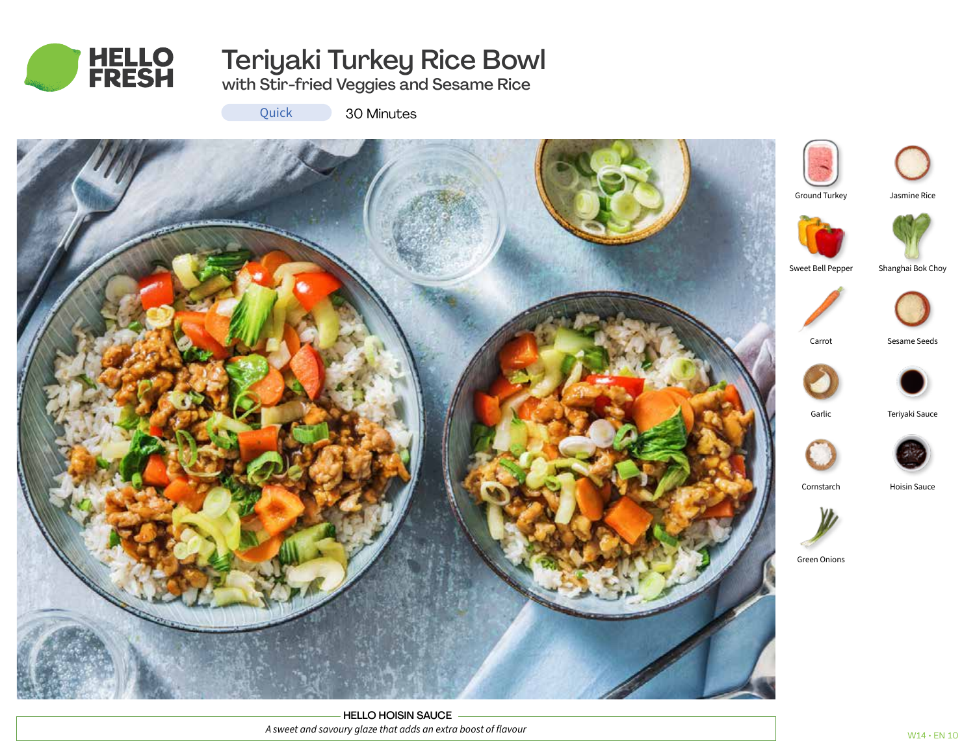

# Teriyaki Turkey Rice Bowl

with Stir-fried Veggies and Sesame Rice

Quick 30 Minutes



HELLO HOISIN SAUCE *A sweet and savoury glaze that adds an extra boost of flavour*